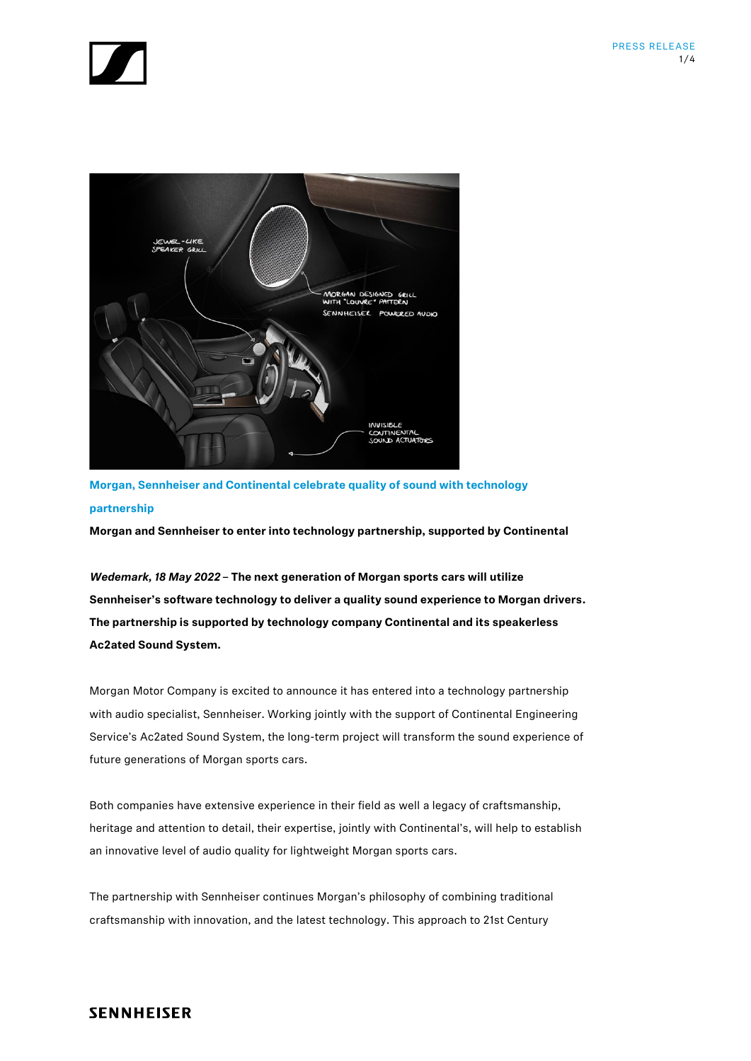



**Morgan, Sennheiser and Continental celebrate quality of sound with technology partnership**

**Morgan and Sennheiser to enter into technology partnership, supported by Continental**

*Wedemark, 18 May 2022* **– The next generation of Morgan sports cars will utilize Sennheiser's software technology to deliver a quality sound experience to Morgan drivers. The partnership is supported by technology company Continental and its speakerless Ac2ated Sound System.**

Morgan Motor Company is excited to announce it has entered into a technology partnership with audio specialist, Sennheiser. Working jointly with the support of Continental Engineering Service's Ac2ated Sound System, the long-term project will transform the sound experience of future generations of Morgan sports cars.

Both companies have extensive experience in their field as well a legacy of craftsmanship, heritage and attention to detail, their expertise, jointly with Continental's, will help to establish an innovative level of audio quality for lightweight Morgan sports cars.

The partnership with Sennheiser continues Morgan's philosophy of combining traditional craftsmanship with innovation, and the latest technology. This approach to 21st Century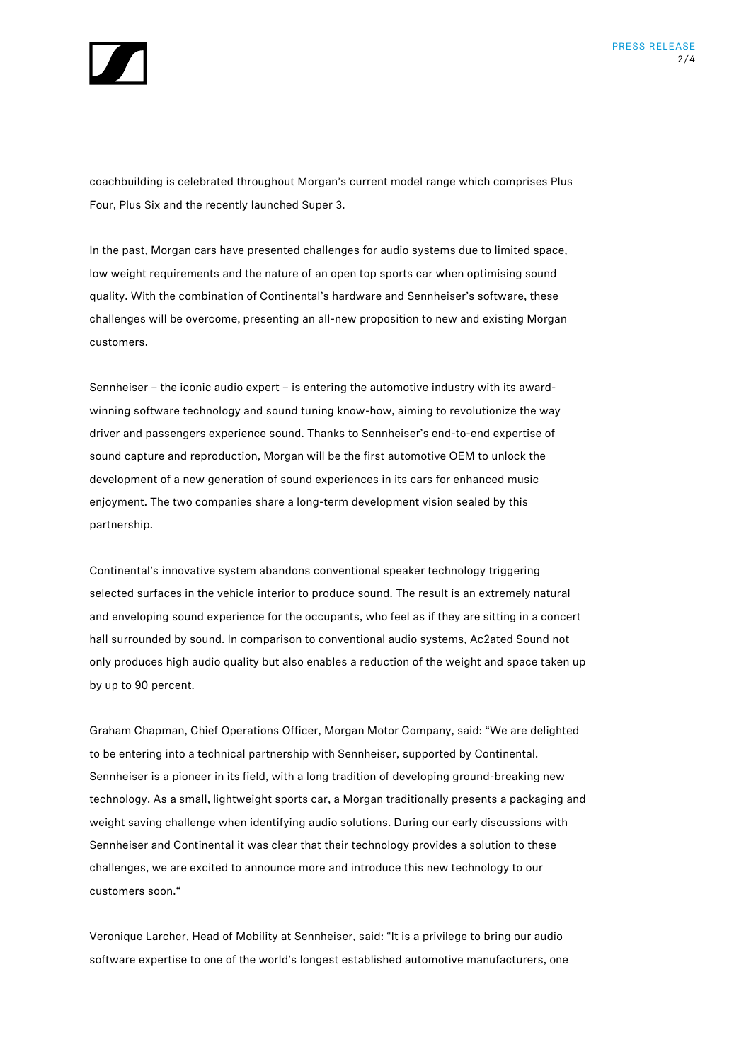

coachbuilding is celebrated throughout Morgan's current model range which comprises Plus Four, Plus Six and the recently launched Super 3.

In the past, Morgan cars have presented challenges for audio systems due to limited space, low weight requirements and the nature of an open top sports car when optimising sound quality. With the combination of Continental's hardware and Sennheiser's software, these challenges will be overcome, presenting an all-new proposition to new and existing Morgan customers.

Sennheiser – the iconic audio expert – is entering the automotive industry with its awardwinning software technology and sound tuning know-how, aiming to revolutionize the way driver and passengers experience sound. Thanks to Sennheiser's end-to-end expertise of sound capture and reproduction, Morgan will be the first automotive OEM to unlock the development of a new generation of sound experiences in its cars for enhanced music enjoyment. The two companies share a long-term development vision sealed by this partnership.

Continental's innovative system abandons conventional speaker technology triggering selected surfaces in the vehicle interior to produce sound. The result is an extremely natural and enveloping sound experience for the occupants, who feel as if they are sitting in a concert hall surrounded by sound. In comparison to conventional audio systems, Ac2ated Sound not only produces high audio quality but also enables a reduction of the weight and space taken up by up to 90 percent.

Graham Chapman, Chief Operations Officer, Morgan Motor Company, said: "We are delighted to be entering into a technical partnership with Sennheiser, supported by Continental. Sennheiser is a pioneer in its field, with a long tradition of developing ground-breaking new technology. As a small, lightweight sports car, a Morgan traditionally presents a packaging and weight saving challenge when identifying audio solutions. During our early discussions with Sennheiser and Continental it was clear that their technology provides a solution to these challenges, we are excited to announce more and introduce this new technology to our customers soon."

Veronique Larcher, Head of Mobility at Sennheiser, said: "It is a privilege to bring our audio software expertise to one of the world's longest established automotive manufacturers, one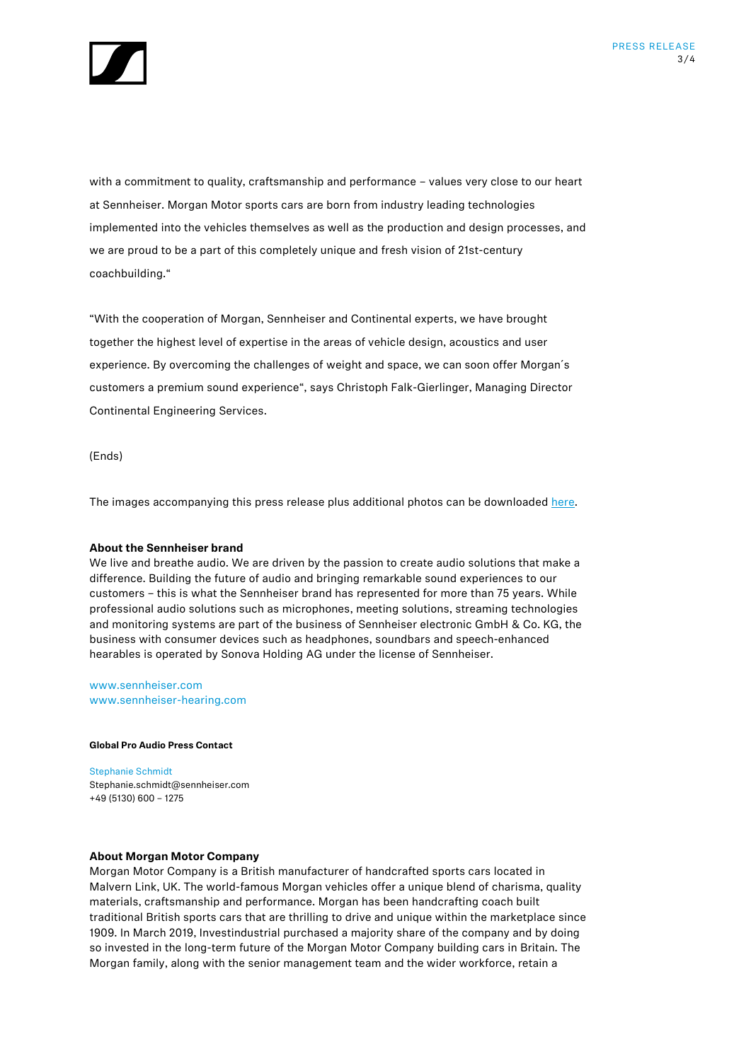

with a commitment to quality, craftsmanship and performance – values very close to our heart at Sennheiser. Morgan Motor sports cars are born from industry leading technologies implemented into the vehicles themselves as well as the production and design processes, and we are proud to be a part of this completely unique and fresh vision of 21st-century coachbuilding."

"With the cooperation of Morgan, Sennheiser and Continental experts, we have brought together the highest level of expertise in the areas of vehicle design, acoustics and user experience. By overcoming the challenges of weight and space, we can soon offer Morgan´s customers a premium sound experience", says Christoph Falk-Gierlinger, Managing Director Continental Engineering Services.

(Ends)

The images accompanying this press release plus additional photos can be downloaded [here.](https://www.dropbox.com/scl/fo/z8llqjz6fbq4750pteqig/h?dl=0&rlkey=zo24kbuvpwohq6t84c23fh0uj)

## **About the Sennheiser brand**

We live and breathe audio. We are driven by the passion to create audio solutions that make a difference. Building the future of audio and bringing remarkable sound experiences to our customers – this is what the Sennheiser brand has represented for more than 75 years. While professional audio solutions such as microphones, meeting solutions, streaming technologies and monitoring systems are part of the business of Sennheiser electronic GmbH & Co. KG, the business with consumer devices such as headphones, soundbars and speech-enhanced hearables is operated by Sonova Holding AG under the license of Sennheiser.

[www.sennheiser.com](http://www.sennheiser.com/) [www.sennheiser-hearing.com](http://www.sennheiser-hearing.com/)

## **Global Pro Audio Press Contact**

Stephanie Schmidt Stephanie.schmidt@sennheiser.com +49 (5130) 600 – 1275

## **About Morgan Motor Company**

Morgan Motor Company is a British manufacturer of handcrafted sports cars located in Malvern Link, UK. The world-famous Morgan vehicles offer a unique blend of charisma, quality materials, craftsmanship and performance. Morgan has been handcrafting coach built traditional British sports cars that are thrilling to drive and unique within the marketplace since 1909. In March 2019, Investindustrial purchased a majority share of the company and by doing so invested in the long-term future of the Morgan Motor Company building cars in Britain. The Morgan family, along with the senior management team and the wider workforce, retain a